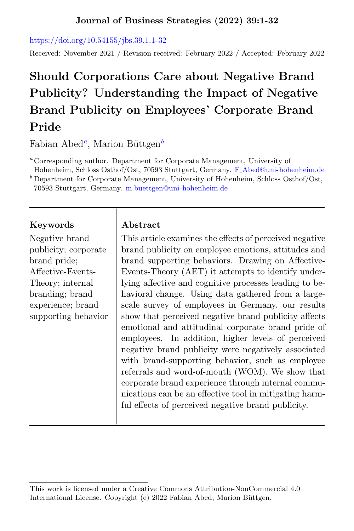[https://doi.org/10.54155/jbs.39.1.1-32](https://doi.org/10.54155/jbs.39.1.1-32 )

Received: November 2021 / Revision received: February 2022 / Accepted: February 2022

# Should Corporations Care about Negative Brand Publicity? Understanding the Impact of Negative Brand Publicity on Employees' Corporate Brand Pride

Fabian Abed<sup>a</sup>, Marion Büttgen<sup>b</sup>

<sup>a</sup> Corresponding author. Department for Corporate Management, University of

Hohenheim, Schloss Osthof/Ost, 70593 Stuttgart, Germany. F [Abed@uni-hohenheim.de]( F_Abed@uni-hohenheim.de )  $<sup>b</sup>$  Department for Corporate Management, University of Hohenheim, Schloss Osthof/Ost,</sup>

70593 Stuttgart, Germany. [m.buettgen@uni-hohenheim.de]( m.buettgen@uni-hohenheim.de)

# Keywords | Abstract

Negative brand publicity; corporate brand pride; Affective-Events-Theory; internal branding; brand experience; brand supporting behavior

This article examines the effects of perceived negative brand publicity on employee emotions, attitudes and brand supporting behaviors. Drawing on Affective-Events-Theory (AET) it attempts to identify underlying affective and cognitive processes leading to behavioral change. Using data gathered from a largescale survey of employees in Germany, our results show that perceived negative brand publicity affects emotional and attitudinal corporate brand pride of employees. In addition, higher levels of perceived negative brand publicity were negatively associated with brand-supporting behavior, such as employee referrals and word-of-mouth (WOM). We show that corporate brand experience through internal communications can be an effective tool in mitigating harmful effects of perceived negative brand publicity.

This work is licensed under a Creative Commons Attribution-NonCommercial 4.0 International License. Copyright (c) 2022 Fabian Abed, Marion Büttgen.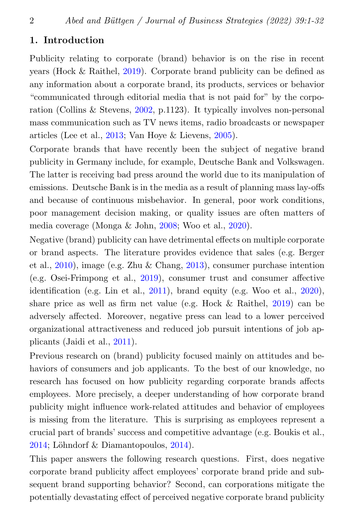#### 1. Introduction

Publicity relating to corporate (brand) behavior is on the rise in recent years (Hock & Raithel, [2019\)](#page-26-0). Corporate brand publicity can be defined as any information about a corporate brand, its products, services or behavior "communicated through editorial media that is not paid for" by the corporation (Collins & Stevens, [2002,](#page-24-0) p.1123). It typically involves non-personal mass communication such as TV news items, radio broadcasts or newspaper articles (Lee et al., [2013;](#page-27-0) Van Hoye & Lievens, [2005\)](#page-29-0).

Corporate brands that have recently been the subject of negative brand publicity in Germany include, for example, Deutsche Bank and Volkswagen. The latter is receiving bad press around the world due to its manipulation of emissions. Deutsche Bank is in the media as a result of planning mass lay-offs and because of continuous misbehavior. In general, poor work conditions, poor management decision making, or quality issues are often matters of media coverage (Monga & John, [2008;](#page-28-0) Woo et al., [2020\)](#page-30-0).

Negative (brand) publicity can have detrimental effects on multiple corporate or brand aspects. The literature provides evidence that sales (e.g. Berger et al., [2010\)](#page-23-0), image (e.g. Zhu & Chang, [2013\)](#page-31-0), consumer purchase intention (e.g. Osei-Frimpong et al., [2019\)](#page-28-1), consumer trust and consumer affective identification (e.g. Lin et al.,  $2011$ ), brand equity (e.g. Woo et al.,  $2020$ ), share price as well as firm net value (e.g. Hock & Raithel, [2019\)](#page-26-0) can be adversely affected. Moreover, negative press can lead to a lower perceived organizational attractiveness and reduced job pursuit intentions of job applicants (Jaidi et al., [2011\)](#page-27-2).

Previous research on (brand) publicity focused mainly on attitudes and behaviors of consumers and job applicants. To the best of our knowledge, no research has focused on how publicity regarding corporate brands affects employees. More precisely, a deeper understanding of how corporate brand publicity might influence work-related attitudes and behavior of employees is missing from the literature. This is surprising as employees represent a crucial part of brands' success and competitive advantage (e.g. Boukis et al.,  $2014$ ; Löhndorf & Diamantopoulos,  $2014$ ).

This paper answers the following research questions. First, does negative corporate brand publicity affect employees' corporate brand pride and subsequent brand supporting behavior? Second, can corporations mitigate the potentially devastating effect of perceived negative corporate brand publicity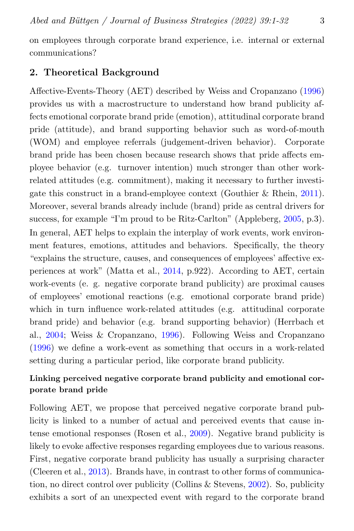on employees through corporate brand experience, i.e. internal or external communications?

### 2. Theoretical Background

Affective-Events-Theory (AET) described by Weiss and Cropanzano [\(1996\)](#page-30-1) provides us with a macrostructure to understand how brand publicity affects emotional corporate brand pride (emotion), attitudinal corporate brand pride (attitude), and brand supporting behavior such as word-of-mouth (WOM) and employee referrals (judgement-driven behavior). Corporate brand pride has been chosen because research shows that pride affects employee behavior (e.g. turnover intention) much stronger than other workrelated attitudes (e.g. commitment), making it necessary to further investigate this construct in a brand-employee context (Gouthier & Rhein, [2011\)](#page-25-0). Moreover, several brands already include (brand) pride as central drivers for success, for example "I'm proud to be Ritz-Carlton" (Appleberg, [2005,](#page-22-0) p.3). In general, AET helps to explain the interplay of work events, work environment features, emotions, attitudes and behaviors. Specifically, the theory "explains the structure, causes, and consequences of employees' affective experiences at work" (Matta et al., [2014,](#page-28-3) p.922). According to AET, certain work-events (e. g. negative corporate brand publicity) are proximal causes of employees' emotional reactions (e.g. emotional corporate brand pride) which in turn influence work-related attitudes (e.g. attitudinal corporate brand pride) and behavior (e.g. brand supporting behavior) (Herrbach et al., [2004;](#page-26-1) Weiss & Cropanzano, [1996\)](#page-30-1). Following Weiss and Cropanzano [\(1996\)](#page-30-1) we define a work-event as something that occurs in a work-related setting during a particular period, like corporate brand publicity.

# Linking perceived negative corporate brand publicity and emotional corporate brand pride

Following AET, we propose that perceived negative corporate brand publicity is linked to a number of actual and perceived events that cause intense emotional responses (Rosen et al., [2009\)](#page-29-1). Negative brand publicity is likely to evoke affective responses regarding employees due to various reasons. First, negative corporate brand publicity has usually a surprising character (Cleeren et al., [2013\)](#page-24-1). Brands have, in contrast to other forms of communication, no direct control over publicity (Collins & Stevens, [2002\)](#page-24-0). So, publicity exhibits a sort of an unexpected event with regard to the corporate brand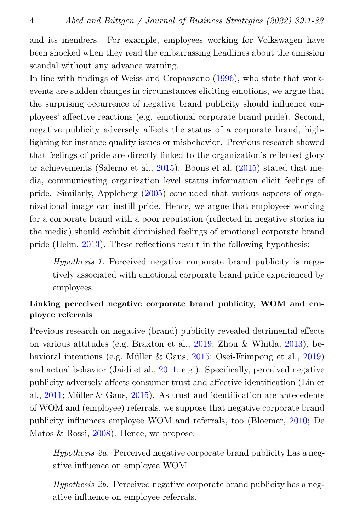and its members. For example, employees working for Volkswagen have been shocked when they read the embarrassing headlines about the emission scandal without any advance warning.

In line with findings of Weiss and Cropanzano [\(1996\)](#page-30-1), who state that workevents are sudden changes in circumstances eliciting emotions, we argue that the surprising occurrence of negative brand publicity should influence employees' affective reactions (e.g. emotional corporate brand pride). Second, negative publicity adversely affects the status of a corporate brand, highlighting for instance quality issues or misbehavior. Previous research showed that feelings of pride are directly linked to the organization's reflected glory or achievements (Salerno et al., [2015\)](#page-29-2). Boons et al. [\(2015\)](#page-23-2) stated that media, communicating organization level status information elicit feelings of pride. Similarly, Appleberg [\(2005\)](#page-22-0) concluded that various aspects of organizational image can instill pride. Hence, we argue that employees working for a corporate brand with a poor reputation (reflected in negative stories in the media) should exhibit diminished feelings of emotional corporate brand pride (Helm, [2013\)](#page-26-2). These reflections result in the following hypothesis:

Hypothesis 1. Perceived negative corporate brand publicity is negatively associated with emotional corporate brand pride experienced by employees.

# Linking perceived negative corporate brand publicity, WOM and employee referrals

Previous research on negative (brand) publicity revealed detrimental effects on various attitudes (e.g. Braxton et al., [2019;](#page-23-3) Zhou & Whitla, [2013\)](#page-30-2), behavioral intentions (e.g. Müller  $&$  Gaus, [2015;](#page-28-4) Osei-Frimpong et al., [2019\)](#page-28-1) and actual behavior (Jaidi et al., [2011,](#page-27-2) e.g.). Specifically, perceived negative publicity adversely affects consumer trust and affective identification (Lin et al.,  $2011$ ; Müller & Gaus,  $2015$ ). As trust and identification are antecedents of WOM and (employee) referrals, we suppose that negative corporate brand publicity influences employee WOM and referrals, too (Bloemer, [2010;](#page-23-4) De Matos & Rossi, [2008\)](#page-24-2). Hence, we propose:

Hypothesis 2a. Perceived negative corporate brand publicity has a negative influence on employee WOM.

Hypothesis 2b. Perceived negative corporate brand publicity has a negative influence on employee referrals.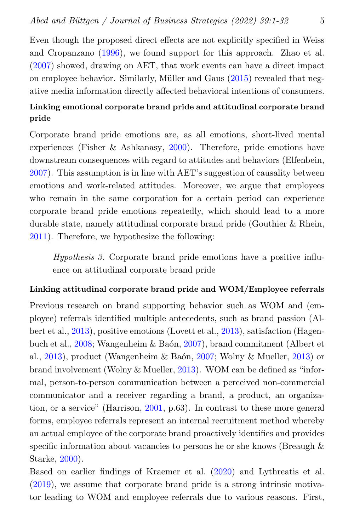Even though the proposed direct effects are not explicitly specified in Weiss and Cropanzano [\(1996\)](#page-30-1), we found support for this approach. Zhao et al. [\(2007\)](#page-30-3) showed, drawing on AET, that work events can have a direct impact on employee behavior. Similarly, Müller and Gaus [\(2015\)](#page-28-4) revealed that negative media information directly affected behavioral intentions of consumers.

# Linking emotional corporate brand pride and attitudinal corporate brand pride

Corporate brand pride emotions are, as all emotions, short-lived mental experiences (Fisher & Ashkanasy, [2000\)](#page-25-1). Therefore, pride emotions have downstream consequences with regard to attitudes and behaviors (Elfenbein, [2007\)](#page-25-2). This assumption is in line with AET's suggestion of causality between emotions and work-related attitudes. Moreover, we argue that employees who remain in the same corporation for a certain period can experience corporate brand pride emotions repeatedly, which should lead to a more durable state, namely attitudinal corporate brand pride (Gouthier & Rhein, [2011\)](#page-25-0). Therefore, we hypothesize the following:

Hypothesis 3. Corporate brand pride emotions have a positive influence on attitudinal corporate brand pride

#### Linking attitudinal corporate brand pride and WOM/Employee referrals

Previous research on brand supporting behavior such as WOM and (employee) referrals identified multiple antecedents, such as brand passion (Albert et al., [2013\)](#page-22-1), positive emotions (Lovett et al., [2013\)](#page-28-5), satisfaction (Hagen-buch et al., [2008;](#page-25-3) Wangenheim & Baón, [2007\)](#page-30-4), brand commitment (Albert et al., [2013\)](#page-30-5), product (Wangenheim & Baón, [2007;](#page-30-4) Wolny & Mueller, 2013) or brand involvement (Wolny & Mueller, [2013\)](#page-30-5). WOM can be defined as "informal, person-to-person communication between a perceived non-commercial communicator and a receiver regarding a brand, a product, an organization, or a service" (Harrison, [2001,](#page-26-3) p.63). In contrast to these more general forms, employee referrals represent an internal recruitment method whereby an actual employee of the corporate brand proactively identifies and provides specific information about vacancies to persons he or she knows (Breaugh & Starke, [2000\)](#page-23-5).

Based on earlier findings of Kraemer et al. [\(2020\)](#page-27-3) and Lythreatis et al. [\(2019\)](#page-28-6), we assume that corporate brand pride is a strong intrinsic motivator leading to WOM and employee referrals due to various reasons. First,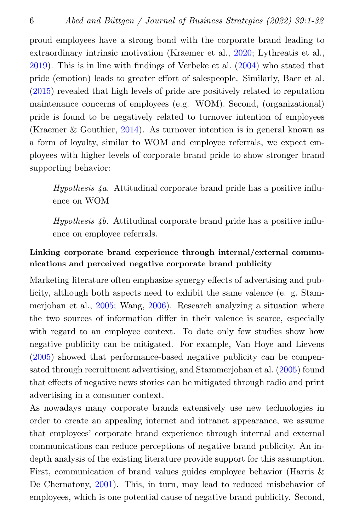proud employees have a strong bond with the corporate brand leading to extraordinary intrinsic motivation (Kraemer et al., [2020;](#page-27-3) Lythreatis et al., [2019\)](#page-28-6). This is in line with findings of Verbeke et al. [\(2004\)](#page-30-6) who stated that pride (emotion) leads to greater effort of salespeople. Similarly, Baer et al. [\(2015\)](#page-23-6) revealed that high levels of pride are positively related to reputation maintenance concerns of employees (e.g. WOM). Second, (organizational) pride is found to be negatively related to turnover intention of employees (Kraemer & Gouthier, [2014\)](#page-27-4). As turnover intention is in general known as a form of loyalty, similar to WOM and employee referrals, we expect employees with higher levels of corporate brand pride to show stronger brand supporting behavior:

Hypothesis  $4a$ . Attitudinal corporate brand pride has a positive influence on WOM

Hypothesis  $4b$ . Attitudinal corporate brand pride has a positive influence on employee referrals.

# Linking corporate brand experience through internal/external communications and perceived negative corporate brand publicity

Marketing literature often emphasize synergy effects of advertising and publicity, although both aspects need to exhibit the same valence (e. g. Stammerjohan et al., [2005;](#page-29-3) Wang, [2006\)](#page-30-7). Research analyzing a situation where the two sources of information differ in their valence is scarce, especially with regard to an employee context. To date only few studies show how negative publicity can be mitigated. For example, Van Hoye and Lievens [\(2005\)](#page-29-0) showed that performance-based negative publicity can be compensated through recruitment advertising, and Stammerjohan et al. [\(2005\)](#page-29-3) found that effects of negative news stories can be mitigated through radio and print advertising in a consumer context.

As nowadays many corporate brands extensively use new technologies in order to create an appealing internet and intranet appearance, we assume that employees' corporate brand experience through internal and external communications can reduce perceptions of negative brand publicity. An indepth analysis of the existing literature provide support for this assumption. First, communication of brand values guides employee behavior (Harris & De Chernatony, [2001\)](#page-26-4). This, in turn, may lead to reduced misbehavior of employees, which is one potential cause of negative brand publicity. Second,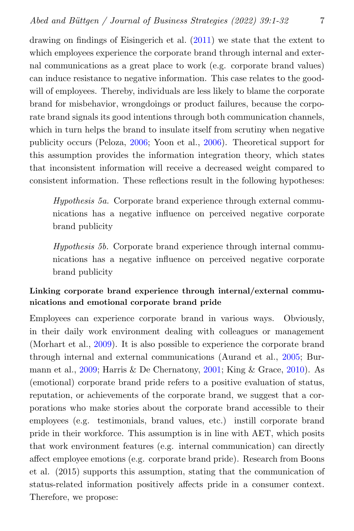drawing on findings of Eisingerich et al. [\(2011\)](#page-25-4) we state that the extent to which employees experience the corporate brand through internal and external communications as a great place to work (e.g. corporate brand values) can induce resistance to negative information. This case relates to the goodwill of employees. Thereby, individuals are less likely to blame the corporate brand for misbehavior, wrongdoings or product failures, because the corporate brand signals its good intentions through both communication channels, which in turn helps the brand to insulate itself from scrutiny when negative publicity occurs (Peloza, [2006;](#page-28-7) Yoon et al., [2006\)](#page-30-8). Theoretical support for this assumption provides the information integration theory, which states that inconsistent information will receive a decreased weight compared to consistent information. These reflections result in the following hypotheses:

Hypothesis 5a. Corporate brand experience through external communications has a negative influence on perceived negative corporate brand publicity

Hypothesis 5b. Corporate brand experience through internal communications has a negative influence on perceived negative corporate brand publicity

#### Linking corporate brand experience through internal/external communications and emotional corporate brand pride

Employees can experience corporate brand in various ways. Obviously, in their daily work environment dealing with colleagues or management (Morhart et al., [2009\)](#page-28-8). It is also possible to experience the corporate brand through internal and external communications (Aurand et al., [2005;](#page-23-7) Burmann et al., [2009;](#page-24-3) Harris & De Chernatony, [2001;](#page-26-4) King & Grace, [2010\)](#page-27-5). As (emotional) corporate brand pride refers to a positive evaluation of status, reputation, or achievements of the corporate brand, we suggest that a corporations who make stories about the corporate brand accessible to their employees (e.g. testimonials, brand values, etc.) instill corporate brand pride in their workforce. This assumption is in line with AET, which posits that work environment features (e.g. internal communication) can directly affect employee emotions (e.g. corporate brand pride). Research from Boons et al. (2015) supports this assumption, stating that the communication of status-related information positively affects pride in a consumer context. Therefore, we propose: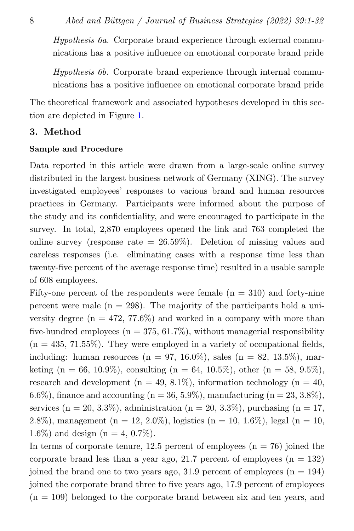Hypothesis 6a. Corporate brand experience through external communications has a positive influence on emotional corporate brand pride

Hypothesis 6b. Corporate brand experience through internal communications has a positive influence on emotional corporate brand pride

The theoretical framework and associated hypotheses developed in this section are depicted in Figure [1.](#page-8-0)

# 3. Method

#### Sample and Procedure

Data reported in this article were drawn from a large-scale online survey distributed in the largest business network of Germany (XING). The survey investigated employees' responses to various brand and human resources practices in Germany. Participants were informed about the purpose of the study and its confidentiality, and were encouraged to participate in the survey. In total, 2,870 employees opened the link and 763 completed the online survey (response rate  $= 26.59\%$ ). Deletion of missing values and careless responses (i.e. eliminating cases with a response time less than twenty-five percent of the average response time) resulted in a usable sample of 608 employees.

Fifty-one percent of the respondents were female  $(n = 310)$  and forty-nine percent were male  $(n = 298)$ . The majority of the participants hold a university degree ( $n = 472, 77.6\%$ ) and worked in a company with more than five-hundred employees ( $n = 375, 61.7\%$ ), without managerial responsibility  $(n = 435, 71.55\%)$ . They were employed in a variety of occupational fields, including: human resources ( $n = 97, 16.0\%$ ), sales ( $n = 82, 13.5\%$ ), marketing (n = 66, 10.9%), consulting (n = 64, 10.5%), other (n = 58, 9.5%), research and development ( $n = 49, 8.1\%$ ), information technology ( $n = 40$ , 6.6%), finance and accounting ( $n = 36, 5.9\%$ ), manufacturing ( $n = 23, 3.8\%$ ), services (n = 20, 3.3%), administration (n = 20, 3.3%), purchasing (n = 17, 2.8%), management (n = 12, 2.0%), logistics (n = 10, 1.6%), legal (n = 10, 1.6%) and design ( $n = 4, 0.7\%$ ).

In terms of corporate tenure, 12.5 percent of employees  $(n = 76)$  joined the corporate brand less than a year ago, 21.7 percent of employees  $(n = 132)$ joined the brand one to two years ago,  $31.9$  percent of employees  $(n = 194)$ joined the corporate brand three to five years ago, 17.9 percent of employees  $(n = 109)$  belonged to the corporate brand between six and ten years, and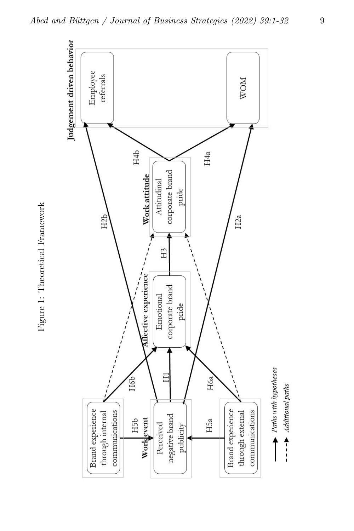<span id="page-8-0"></span>

Figure 1: Theoretical Framework Figure 1: Theoretical Framework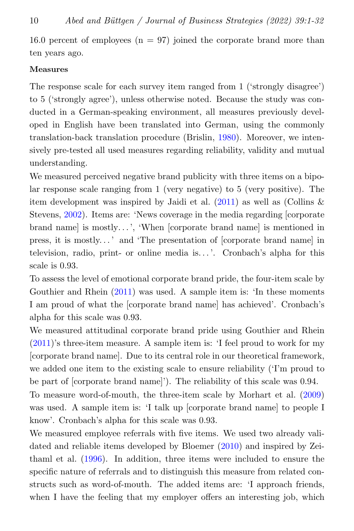16.0 percent of employees  $(n = 97)$  joined the corporate brand more than ten years ago.

#### **Measures**

The response scale for each survey item ranged from 1 ('strongly disagree') to 5 ('strongly agree'), unless otherwise noted. Because the study was conducted in a German-speaking environment, all measures previously developed in English have been translated into German, using the commonly translation-back translation procedure (Brislin, [1980\)](#page-23-8). Moreover, we intensively pre-tested all used measures regarding reliability, validity and mutual understanding.

We measured perceived negative brand publicity with three items on a bipolar response scale ranging from 1 (very negative) to 5 (very positive). The item development was inspired by Jaidi et al.  $(2011)$  as well as (Collins & Stevens, [2002\)](#page-24-0). Items are: 'News coverage in the media regarding [corporate brand name] is mostly...', 'When [corporate brand name] is mentioned in press, it is mostly. . . ' and 'The presentation of [corporate brand name] in television, radio, print- or online media is...'. Cronbach's alpha for this scale is 0.93.

To assess the level of emotional corporate brand pride, the four-item scale by Gouthier and Rhein [\(2011\)](#page-25-0) was used. A sample item is: 'In these moments I am proud of what the [corporate brand name] has achieved'. Cronbach's alpha for this scale was 0.93.

We measured attitudinal corporate brand pride using Gouthier and Rhein [\(2011\)](#page-25-0)'s three-item measure. A sample item is: 'I feel proud to work for my [corporate brand name]. Due to its central role in our theoretical framework, we added one item to the existing scale to ensure reliability ('I'm proud to be part of [corporate brand name]'). The reliability of this scale was 0.94.

To measure word-of-mouth, the three-item scale by Morhart et al. [\(2009\)](#page-28-8) was used. A sample item is: 'I talk up [corporate brand name] to people I know'. Cronbach's alpha for this scale was 0.93.

We measured employee referrals with five items. We used two already validated and reliable items developed by Bloemer [\(2010\)](#page-23-4) and inspired by Zeithaml et al. [\(1996\)](#page-30-9). In addition, three items were included to ensure the specific nature of referrals and to distinguish this measure from related constructs such as word-of-mouth. The added items are: 'I approach friends, when I have the feeling that my employer offers an interesting job, which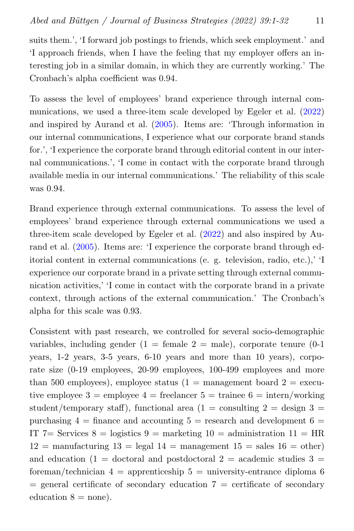suits them.', 'I forward job postings to friends, which seek employment.' and 'I approach friends, when I have the feeling that my employer offers an interesting job in a similar domain, in which they are currently working.' The Cronbach's alpha coefficient was 0.94.

To assess the level of employees' brand experience through internal communications, we used a three-item scale developed by Egeler et al. [\(2022\)](#page-25-5) and inspired by Aurand et al. [\(2005\)](#page-23-7). Items are: 'Through information in our internal communications, I experience what our corporate brand stands for.', 'I experience the corporate brand through editorial content in our internal communications.', 'I come in contact with the corporate brand through available media in our internal communications.' The reliability of this scale was 0.94.

Brand experience through external communications. To assess the level of employees' brand experience through external communications we used a three-item scale developed by Egeler et al. [\(2022\)](#page-25-5) and also inspired by Aurand et al. [\(2005\)](#page-23-7). Items are: 'I experience the corporate brand through editorial content in external communications (e. g. television, radio, etc.),' 'I experience our corporate brand in a private setting through external communication activities,' 'I come in contact with the corporate brand in a private context, through actions of the external communication.' The Cronbach's alpha for this scale was 0.93.

Consistent with past research, we controlled for several socio-demographic variables, including gender  $(1 = \text{female } 2 = \text{male})$ , corporate tenure  $(0-1)$ years, 1-2 years, 3-5 years, 6-10 years and more than 10 years), corporate size (0-19 employees, 20-99 employees, 100-499 employees and more than 500 employees), employee status (1 = management board 2 = executive employee  $3 =$  employee  $4 =$  freelancer  $5 =$  trainee  $6 =$  intern/working student/temporary staff), functional area (1 = consulting  $2 =$  design  $3 =$ purchasing  $4 = \text{finance}$  and accounting  $5 = \text{research}$  and development  $6 =$ IT 7= Services  $8 = \text{logistics } 9 = \text{marketing } 10 = \text{administribution } 11 = \text{HR}$  $12 =$  manufacturing  $13 =$  legal  $14 =$  management  $15 =$  sales  $16 =$  other) and education  $(1 =$  doctoral and postdoctoral  $2 =$  academic studies  $3 =$ foreman/technician  $4 =$  apprenticeship  $5 =$  university-entrance diploma 6  $=$  general certificate of secondary education  $7 =$  certificate of secondary education  $8 =$  none).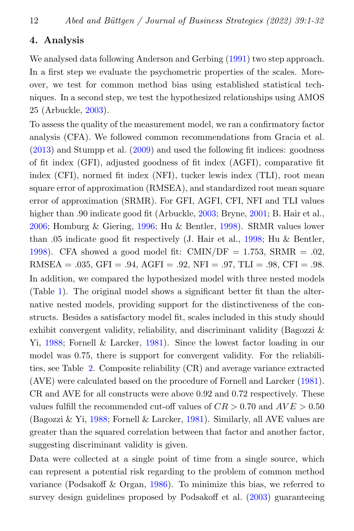#### 4. Analysis

We analysed data following Anderson and Gerbing [\(1991\)](#page-22-2) two step approach. In a first step we evaluate the psychometric properties of the scales. Moreover, we test for common method bias using established statistical techniques. In a second step, we test the hypothesized relationships using AMOS 25 (Arbuckle, [2003\)](#page-22-3).

To assess the quality of the measurement model, we ran a confirmatory factor analysis (CFA). We followed common recommendations from Gracia et al. [\(2013\)](#page-25-6) and Stumpp et al. [\(2009\)](#page-29-4) and used the following fit indices: goodness of fit index (GFI), adjusted goodness of fit index (AGFI), comparative fit index (CFI), normed fit index (NFI), tucker lewis index (TLI), root mean square error of approximation (RMSEA), and standardized root mean square error of approximation (SRMR). For GFI, AGFI, CFI, NFI and TLI values higher than .90 indicate good fit (Arbuckle, [2003;](#page-22-3) Bryne, [2001;](#page-23-9) B. Hair et al., [2006;](#page-26-5) Homburg & Giering, [1996;](#page-26-6) Hu & Bentler, [1998\)](#page-26-7). SRMR values lower than .05 indicate good fit respectively (J. Hair et al., [1998;](#page-26-8) Hu & Bentler, [1998\)](#page-26-7). CFA showed a good model fit: CMIN/DF = 1.753, SRMR = .02, RMSEA =  $.035$ , GFI =  $.94$ , AGFI =  $.92$ , NFI =  $.97$ , TLI =  $.98$ , CFI =  $.98$ . In addition, we compared the hypothesized model with three nested models (Table [1\)](#page-12-0). The original model shows a significant better fit than the alternative nested models, providing support for the distinctiveness of the constructs. Besides a satisfactory model fit, scales included in this study should exhibit convergent validity, reliability, and discriminant validity (Bagozzi  $\&$ Yi, [1988;](#page-23-10) Fornell & Larcker, [1981\)](#page-25-7). Since the lowest factor loading in our model was 0.75, there is support for convergent validity. For the reliabilities, see Table [2.](#page-14-0) Composite reliability (CR) and average variance extracted (AVE) were calculated based on the procedure of Fornell and Larcker [\(1981\)](#page-25-7). CR and AVE for all constructs were above 0.92 and 0.72 respectively. These values fulfill the recommended cut-off values of  $CR > 0.70$  and  $AVE > 0.50$ (Bagozzi & Yi, [1988;](#page-23-10) Fornell & Larcker, [1981\)](#page-25-7). Similarly, all AVE values are greater than the squared correlation between that factor and another factor, suggesting discriminant validity is given.

Data were collected at a single point of time from a single source, which can represent a potential risk regarding to the problem of common method variance (Podsakoff & Organ, [1986\)](#page-29-5). To minimize this bias, we referred to survey design guidelines proposed by Podsakoff et al. [\(2003\)](#page-29-6) guaranteeing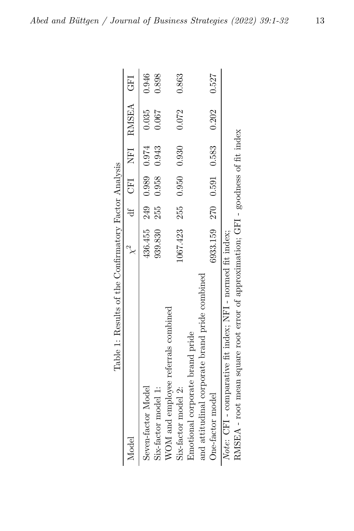<span id="page-12-0"></span>

| Table 1: Results of the Confirmatory Factor Analysis                              |                          |  |                                       |       |
|-----------------------------------------------------------------------------------|--------------------------|--|---------------------------------------|-------|
| Model                                                                             |                          |  | $\chi^2$ df CFI NFI RMSEA CFI         |       |
| Seven-factor Model                                                                |                          |  | $436.455$ $249$ $0.989$ $0.974$ 0.035 | 0.946 |
| Six-factor model 1:                                                               | 939.830 255 0.958 0.943  |  | 0.067                                 | 0.898 |
| WOM and employee referrals combined                                               |                          |  |                                       |       |
| Six-factor model 2:                                                               | 1067.423 255 0.950 0.930 |  | 0.072                                 | 0.863 |
| Emotional corporate brand pride                                                   |                          |  |                                       |       |
| and attitudinal corporate brand pride combined                                    |                          |  |                                       |       |
| One-factor model                                                                  |                          |  | 6933.159 270 0.591 0.583 0.202 0.527  |       |
| Note: CFI - comparative fit index; NFI - normed fit index;                        |                          |  |                                       |       |
| RMSEA - root mean square root error of approximation; GFI - goodness of fit index |                          |  |                                       |       |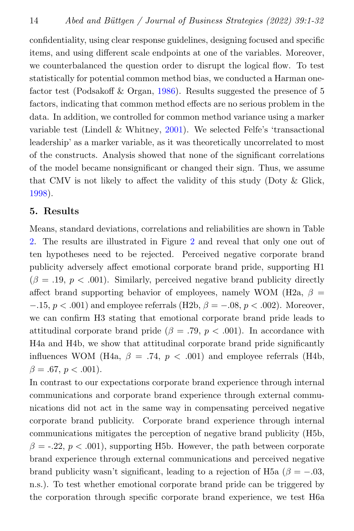confidentiality, using clear response guidelines, designing focused and specific items, and using different scale endpoints at one of the variables. Moreover, we counterbalanced the question order to disrupt the logical flow. To test statistically for potential common method bias, we conducted a Harman onefactor test (Podsakoff  $&$  Organ, [1986\)](#page-29-5). Results suggested the presence of 5 factors, indicating that common method effects are no serious problem in the data. In addition, we controlled for common method variance using a marker variable test (Lindell & Whitney, [2001\)](#page-27-6). We selected Felfe's 'transactional leadership' as a marker variable, as it was theoretically uncorrelated to most of the constructs. Analysis showed that none of the significant correlations of the model became nonsignificant or changed their sign. Thus, we assume that CMV is not likely to affect the validity of this study (Doty  $\&$  Glick, [1998\)](#page-24-4).

#### 5. Results

Means, standard deviations, correlations and reliabilities are shown in Table [2.](#page-14-0) The results are illustrated in Figure [2](#page-15-0) and reveal that only one out of ten hypotheses need to be rejected. Perceived negative corporate brand publicity adversely affect emotional corporate brand pride, supporting H1  $(\beta = .19, p < .001)$ . Similarly, perceived negative brand publicity directly affect brand supporting behavior of employees, namely WOM (H2a,  $\beta$  =  $-0.15, p < 0.001$  and employee referrals (H2b,  $\beta = -0.08, p < 0.002$ ). Moreover, we can confirm H3 stating that emotional corporate brand pride leads to attitudinal corporate brand pride ( $\beta = .79, p < .001$ ). In accordance with H4a and H4b, we show that attitudinal corporate brand pride significantly influences WOM (H4a,  $\beta = .74$ ,  $p < .001$ ) and employee referrals (H4b,  $\beta = .67, p < .001$ ).

In contrast to our expectations corporate brand experience through internal communications and corporate brand experience through external communications did not act in the same way in compensating perceived negative corporate brand publicity. Corporate brand experience through internal communications mitigates the perception of negative brand publicity (H5b,  $\beta = -0.22$ ,  $p < 0.001$ , supporting H5b. However, the path between corporate brand experience through external communications and perceived negative brand publicity wasn't significant, leading to a rejection of H5a ( $\beta = -.03$ , n.s.). To test whether emotional corporate brand pride can be triggered by the corporation through specific corporate brand experience, we test H6a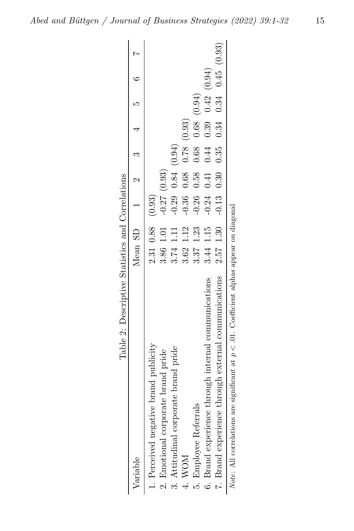<span id="page-14-0"></span>

| Table 2: Descriptive Statistics and Correlations                                                |                                 |                                         |                                 |                        |  |
|-------------------------------------------------------------------------------------------------|---------------------------------|-----------------------------------------|---------------------------------|------------------------|--|
| Variable                                                                                        | Mean SD $1$ $2$ $3$ $4$ $5$ $6$ |                                         |                                 |                        |  |
| 1. Perceived negative brand publicity                                                           | $2.31$ 0.88 (0.93)              |                                         |                                 |                        |  |
| 2. Emotional corporate brand pride                                                              | 3.86 1.01                       | $-0.27(0.93)$                           |                                 |                        |  |
| 3. Attitudinal corporate brand pride                                                            | 3.74 1.11                       | $-0.29$ 0.84 $(0.94)$                   |                                 |                        |  |
| MOM ·                                                                                           | 3.62 1.12                       | $-0.36$                                 | $0.68$ $0.78$ $(0.93)$          |                        |  |
| 5. Employee Referrals                                                                           | 3.37 1.23                       |                                         | $-0.26$ 0.58 0.68 0.68 $(0.94)$ |                        |  |
| through internal communications<br>6. Brand experience *                                        | 3.44 1.15                       | $-0.24$                                 | 0.41 0.44                       | $0.39$ $0.42$ $(0.94)$ |  |
| through external communications<br>7. Brand experience                                          | 2.57 1.30                       | $-0.13$ 0.30 0.35 0.34 0.34 0.45 (0.93) |                                 |                        |  |
| significant at $p < 0.01$ . Coefficient alphas appear on diagonal<br>Note: All correlations are |                                 |                                         |                                 |                        |  |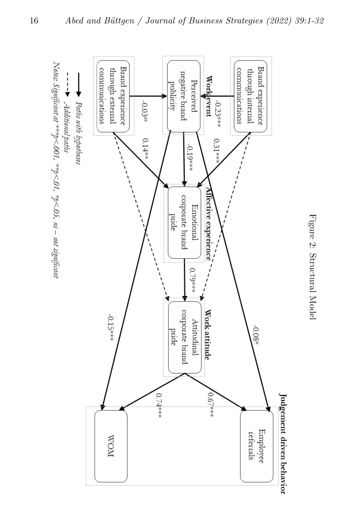<span id="page-15-0"></span>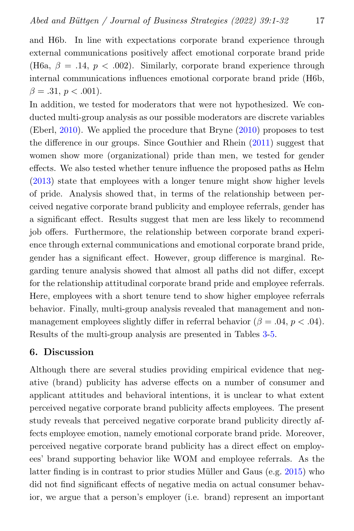and H6b. In line with expectations corporate brand experience through external communications positively affect emotional corporate brand pride (H6a,  $\beta = .14$ ,  $p < .002$ ). Similarly, corporate brand experience through internal communications influences emotional corporate brand pride (H6b,  $\beta = .31, p < .001$ ).

In addition, we tested for moderators that were not hypothesized. We conducted multi-group analysis as our possible moderators are discrete variables (Eberl, [2010\)](#page-24-5). We applied the procedure that Bryne [\(2010\)](#page-24-6) proposes to test the difference in our groups. Since Gouthier and Rhein [\(2011\)](#page-25-0) suggest that women show more (organizational) pride than men, we tested for gender effects. We also tested whether tenure influence the proposed paths as Helm [\(2013\)](#page-26-2) state that employees with a longer tenure might show higher levels of pride. Analysis showed that, in terms of the relationship between perceived negative corporate brand publicity and employee referrals, gender has a significant effect. Results suggest that men are less likely to recommend job offers. Furthermore, the relationship between corporate brand experience through external communications and emotional corporate brand pride, gender has a significant effect. However, group difference is marginal. Regarding tenure analysis showed that almost all paths did not differ, except for the relationship attitudinal corporate brand pride and employee referrals. Here, employees with a short tenure tend to show higher employee referrals behavior. Finally, multi-group analysis revealed that management and nonmanagement employees slightly differ in referral behavior ( $\beta = .04$ ,  $p < .04$ ). Results of the multi-group analysis are presented in Tables [3-](#page-17-0)[5.](#page-19-0)

### 6. Discussion

Although there are several studies providing empirical evidence that negative (brand) publicity has adverse effects on a number of consumer and applicant attitudes and behavioral intentions, it is unclear to what extent perceived negative corporate brand publicity affects employees. The present study reveals that perceived negative corporate brand publicity directly affects employee emotion, namely emotional corporate brand pride. Moreover, perceived negative corporate brand publicity has a direct effect on employees' brand supporting behavior like WOM and employee referrals. As the latter finding is in contrast to prior studies Müller and Gaus (e.g.  $2015$ ) who did not find significant effects of negative media on actual consumer behavior, we argue that a person's employer (i.e. brand) represent an important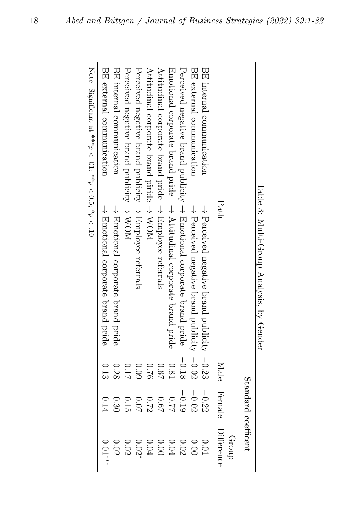|                                                                                       |          | Standard coefficent |                      |
|---------------------------------------------------------------------------------------|----------|---------------------|----------------------|
| Path                                                                                  |          | Male Female         | Difference<br>dno.rp |
| BE internal communication<br>$\rightarrow$ Perceived negative brand publicity $-0.23$ |          | $-0.22$             | 0.01                 |
| BE external communication<br>$\rightarrow$ Perceived negative brand publicity -0.02   |          | $-0.02$             | 0.00                 |
| Perceived negative brand publicity $\rightarrow$ Emotional corporate brand pride      | $-0.18$  | $-0.19$             | 0.02                 |
| Emotional corporate brand pride $\rightarrow$ Attitudinal corporate brand pride       | $0.81\,$ | <b>77.0</b>         | $0.04\,$             |
| Attitudinal corporate brand pride → Employee referrals                                | 0.67     | <b>190</b>          | 0.00                 |
| Attitudinal corporate brand piride → WOM                                              | 0.76     | 0.72                | $0.04\,$             |
| Perceived negative brand publicity $\rightarrow$ Employee referrals                   | $-0.09$  | $-0.07$             | 0.02                 |
| Perceived negative brand publicity $\rightarrow$ WOM                                  | $-0.17$  | $-0.15$             | 0.02                 |
| BE internal communication<br>$\rightarrow$ Emotional corporate brand pride            | 0.28     | 0.30                | 0.02                 |
| BE extend communication<br>$\rightarrow$ Emotional corporate brand pride              | 0.13     | 0.14                | $0.01^{***}$         |
| Mote: Sigmificant at ***σ∧.01: **σ∧0.5: *σ∧.10                                        |          |                     |                      |

Table 3: Multi-Group Analysis, by Gender Table 3: Multi-Group Analysis, by Gender

<span id="page-17-0"></span>Note: Significant at "" Note: Significant at \*\*\* $\frac{p}{q}$ 01; \*\* $p < 0.5$ ;  $*$  $\frac{p}{q}$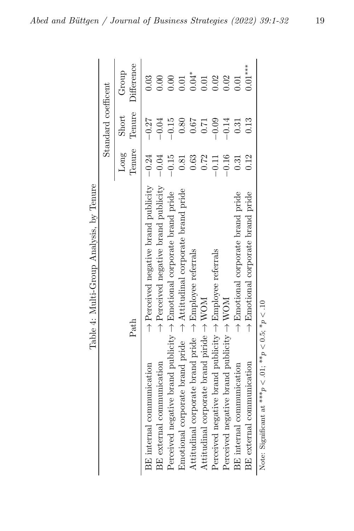| Table 4: Multi-Group Analysis, by Tenure                                              |                |                     |                     |
|---------------------------------------------------------------------------------------|----------------|---------------------|---------------------|
|                                                                                       |                | Standard coefficent |                     |
| Path                                                                                  | Tenure<br>Long | Tenure<br>Short     | Difference<br>Group |
| $\rightarrow$ Perceived negative brand publicity $-0.24$<br>BE internal communication |                | $-0.27$             | 0.03                |
| $\rightarrow$ Perceived negative brand publicity<br>BE external communication         | $-0.04$        | 0.04                | 0.00                |
| Perceived negative brand publicity $\rightarrow$ Emotional corporate brand pride      | $-0.15$        | $-0.15$             | 0.00                |
| Emotional corporate brand pride $\rightarrow$ Attitudinal corporate brand pride       | 0.81           | 0.80                | 0.01                |
| Attitudinal corporate brand pride $\rightarrow$ Employee referrals                    | 0.63           | 79.0                | $0.04*$             |
| Attitudinal corporate brand piride $\rightarrow$ WOM                                  | 0.72           | 0.71                | 0.01                |
| Perceived negative brand publicity $\rightarrow$ Employee referrals                   | $-0.11$        | $-0.09$             | 0.02                |
| Perceived negative brand publicity $\rightarrow$ WOM                                  | $-0.16$        | $-0.14$             | 0.02                |
| $\rightarrow$ Emotional corporate brand pride<br>BE internal communication            | 0.31           | 0.31                | 0.01                |
| $\rightarrow$ Emotional corporate brand pride<br>BE external communication            | 0.12           | 0.13                | $0.01***$           |
| Note: Significant at *** $p < 0.1$ ; ** $p < 0.5$ ; * $p < 10$                        |                |                     |                     |

Table 4: Multi-Group Analysis, by Tenure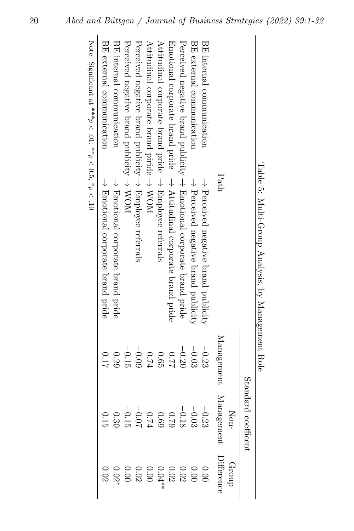|                                                                                  | Standa       | nd coefficent          |       |
|----------------------------------------------------------------------------------|--------------|------------------------|-------|
|                                                                                  |              | $\frac{1}{\text{Non}}$ | Group |
| Path                                                                             | Management M | Ianagement Difference  |       |
| BE internal communication<br>$\rightarrow$ Perceived negative brand publicity    | $-0.23$      |                        |       |
| BE external communication<br>$\rightarrow$ Perceived negative brand publicity    | $-0.03$      |                        |       |
| Perceived negative brand publicity $\rightarrow$ Emotional corporate brand pride | $-0.20$      |                        |       |
| Emotional corporate brand pride $\rightarrow$ Attitudinal corporate brand pride  | 77.0         |                        |       |
| Attitudinal corporate brand pride $\rightarrow$ Employee referrals               | 0.65         |                        |       |
| Attitudinal corporate brand piride $\rightarrow$ WOM                             | F2:0         |                        |       |
| Perceived negative brand publicity $\rightarrow$ Employee referrals              | $-0.09$      |                        |       |
| Perceived negative brand publicity $\rightarrow$ WOM                             | $-0.15$      |                        |       |
| BE internal communication<br>$\rightarrow$ Emotional corporate brand pride       | 0.29         |                        |       |
| BE external communication<br>$\rightarrow$ Emotional corporate brand pride       | 110          |                        |       |
|                                                                                  |              |                        |       |

<span id="page-19-0"></span>Table 3: Multi-Croup Analysis, by Management Role Table 5: Multi-Group Analysis, by Management Role

Note: Significant at \*\*\* $\frac{p}{q}$ 01; \*\* $p < 0.5$ ;  $*$  $\frac{p}{q}$ 10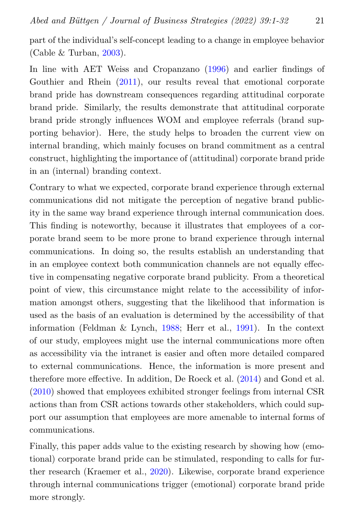part of the individual's self-concept leading to a change in employee behavior (Cable  $&$  Turban, [2003\)](#page-24-7).

In line with AET Weiss and Cropanzano [\(1996\)](#page-30-1) and earlier findings of Gouthier and Rhein [\(2011\)](#page-25-0), our results reveal that emotional corporate brand pride has downstream consequences regarding attitudinal corporate brand pride. Similarly, the results demonstrate that attitudinal corporate brand pride strongly influences WOM and employee referrals (brand supporting behavior). Here, the study helps to broaden the current view on internal branding, which mainly focuses on brand commitment as a central construct, highlighting the importance of (attitudinal) corporate brand pride in an (internal) branding context.

Contrary to what we expected, corporate brand experience through external communications did not mitigate the perception of negative brand publicity in the same way brand experience through internal communication does. This finding is noteworthy, because it illustrates that employees of a corporate brand seem to be more prone to brand experience through internal communications. In doing so, the results establish an understanding that in an employee context both communication channels are not equally effective in compensating negative corporate brand publicity. From a theoretical point of view, this circumstance might relate to the accessibility of information amongst others, suggesting that the likelihood that information is used as the basis of an evaluation is determined by the accessibility of that information (Feldman & Lynch, [1988;](#page-25-8) Herr et al., [1991\)](#page-26-9). In the context of our study, employees might use the internal communications more often as accessibility via the intranet is easier and often more detailed compared to external communications. Hence, the information is more present and therefore more effective. In addition, De Roeck et al. [\(2014\)](#page-24-8) and Gond et al. [\(2010\)](#page-25-9) showed that employees exhibited stronger feelings from internal CSR actions than from CSR actions towards other stakeholders, which could support our assumption that employees are more amenable to internal forms of communications.

Finally, this paper adds value to the existing research by showing how (emotional) corporate brand pride can be stimulated, responding to calls for further research (Kraemer et al., [2020\)](#page-27-3). Likewise, corporate brand experience through internal communications trigger (emotional) corporate brand pride more strongly.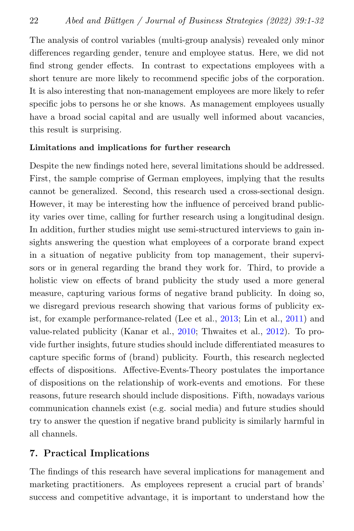The analysis of control variables (multi-group analysis) revealed only minor differences regarding gender, tenure and employee status. Here, we did not find strong gender effects. In contrast to expectations employees with a short tenure are more likely to recommend specific jobs of the corporation. It is also interesting that non-management employees are more likely to refer specific jobs to persons he or she knows. As management employees usually have a broad social capital and are usually well informed about vacancies, this result is surprising.

#### Limitations and implications for further research

Despite the new findings noted here, several limitations should be addressed. First, the sample comprise of German employees, implying that the results cannot be generalized. Second, this research used a cross-sectional design. However, it may be interesting how the influence of perceived brand publicity varies over time, calling for further research using a longitudinal design. In addition, further studies might use semi-structured interviews to gain insights answering the question what employees of a corporate brand expect in a situation of negative publicity from top management, their supervisors or in general regarding the brand they work for. Third, to provide a holistic view on effects of brand publicity the study used a more general measure, capturing various forms of negative brand publicity. In doing so, we disregard previous research showing that various forms of publicity exist, for example performance-related (Lee et al., [2013;](#page-27-0) Lin et al., [2011\)](#page-27-1) and value-related publicity (Kanar et al., [2010;](#page-27-7) Thwaites et al., [2012\)](#page-29-7). To provide further insights, future studies should include differentiated measures to capture specific forms of (brand) publicity. Fourth, this research neglected effects of dispositions. Affective-Events-Theory postulates the importance of dispositions on the relationship of work-events and emotions. For these reasons, future research should include dispositions. Fifth, nowadays various communication channels exist (e.g. social media) and future studies should try to answer the question if negative brand publicity is similarly harmful in all channels.

#### 7. Practical Implications

The findings of this research have several implications for management and marketing practitioners. As employees represent a crucial part of brands' success and competitive advantage, it is important to understand how the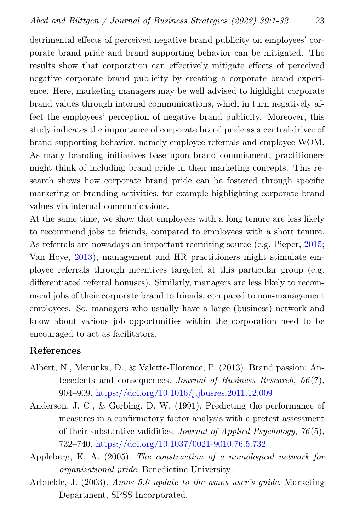detrimental effects of perceived negative brand publicity on employees' corporate brand pride and brand supporting behavior can be mitigated. The results show that corporation can effectively mitigate effects of perceived negative corporate brand publicity by creating a corporate brand experience. Here, marketing managers may be well advised to highlight corporate brand values through internal communications, which in turn negatively affect the employees' perception of negative brand publicity. Moreover, this study indicates the importance of corporate brand pride as a central driver of brand supporting behavior, namely employee referrals and employee WOM. As many branding initiatives base upon brand commitment, practitioners might think of including brand pride in their marketing concepts. This research shows how corporate brand pride can be fostered through specific marketing or branding activities, for example highlighting corporate brand values via internal communications.

At the same time, we show that employees with a long tenure are less likely to recommend jobs to friends, compared to employees with a short tenure. As referrals are nowadays an important recruiting source (e.g. Pieper, [2015;](#page-29-8) Van Hoye, [2013\)](#page-29-9), management and HR practitioners might stimulate employee referrals through incentives targeted at this particular group (e.g. differentiated referral bonuses). Similarly, managers are less likely to recommend jobs of their corporate brand to friends, compared to non-management employees. So, managers who usually have a large (business) network and know about various job opportunities within the corporation need to be encouraged to act as facilitators.

#### References

- <span id="page-22-1"></span>Albert, N., Merunka, D., & Valette-Florence, P. (2013). Brand passion: Antecedents and consequences. Journal of Business Research, 66(7), 904–909. <https://doi.org/10.1016/j.jbusres.2011.12.009>
- <span id="page-22-2"></span>Anderson, J. C., & Gerbing, D. W. (1991). Predicting the performance of measures in a confirmatory factor analysis with a pretest assessment of their substantive validities. Journal of Applied Psychology,  $76(5)$ , 732–740. <https://doi.org/10.1037/0021-9010.76.5.732>
- <span id="page-22-0"></span>Appleberg, K. A. (2005). The construction of a nomological network for organizational pride. Benedictine University.
- <span id="page-22-3"></span>Arbuckle, J. (2003). Amos 5.0 update to the amos user's guide. Marketing Department, SPSS Incorporated.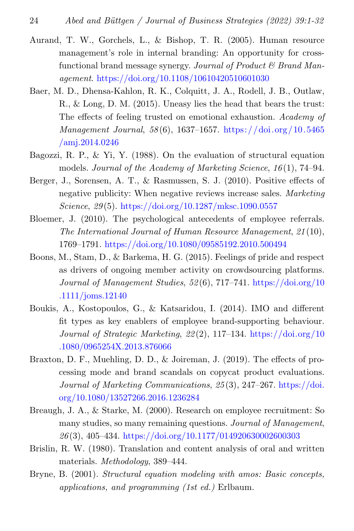- <span id="page-23-7"></span>Aurand, T. W., Gorchels, L., & Bishop, T. R. (2005). Human resource management's role in internal branding: An opportunity for crossfunctional brand message synergy. Journal of Product  $\mathcal C$  Brand Management. <https://doi.org/10.1108/10610420510601030>
- <span id="page-23-6"></span>Baer, M. D., Dhensa-Kahlon, R. K., Colquitt, J. A., Rodell, J. B., Outlaw, R., & Long, D. M. (2015). Uneasy lies the head that bears the trust: The effects of feeling trusted on emotional exhaustion. Academy of Management Journal, 58 (6), 1637–1657. [https://doi.org/10.5465](https://doi.org/10.5465/amj.2014.0246) [/amj.2014.0246](https://doi.org/10.5465/amj.2014.0246)
- <span id="page-23-10"></span>Bagozzi, R. P., & Yi, Y. (1988). On the evaluation of structural equation models. Journal of the Academy of Marketing Science, 16(1), 74–94.
- <span id="page-23-0"></span>Berger, J., Sorensen, A. T., & Rasmussen, S. J. (2010). Positive effects of negative publicity: When negative reviews increase sales. Marketing Science, 29 (5). <https://doi.org/10.1287/mksc.1090.0557>
- <span id="page-23-4"></span>Bloemer, J. (2010). The psychological antecedents of employee referrals. The International Journal of Human Resource Management, 21 (10), 1769–1791. <https://doi.org/10.1080/09585192.2010.500494>
- <span id="page-23-2"></span>Boons, M., Stam, D., & Barkema, H. G. (2015). Feelings of pride and respect as drivers of ongoing member activity on crowdsourcing platforms. Journal of Management Studies, 52 (6), 717–741. [https://doi.org/10](https://doi.org/10.1111/joms.12140) [.1111/joms.12140](https://doi.org/10.1111/joms.12140)
- <span id="page-23-1"></span>Boukis, A., Kostopoulos, G., & Katsaridou, I. (2014). IMO and different fit types as key enablers of employee brand-supporting behaviour. Journal of Strategic Marketing, 22 (2), 117–134. [https://doi.org/10](https://doi.org/10.1080/0965254X.2013.876066) [.1080/0965254X.2013.876066](https://doi.org/10.1080/0965254X.2013.876066)
- <span id="page-23-3"></span>Braxton, D. F., Muehling, D. D., & Joireman, J. (2019). The effects of processing mode and brand scandals on copycat product evaluations. Journal of Marketing Communications, 25 (3), 247–267. [https://doi.](https://doi.org/10.1080/13527266.2016.1236284) [org/10.1080/13527266.2016.1236284](https://doi.org/10.1080/13527266.2016.1236284)
- <span id="page-23-5"></span>Breaugh, J. A., & Starke, M. (2000). Research on employee recruitment: So many studies, so many remaining questions. Journal of Management, 26 (3), 405–434. <https://doi.org/10.1177/014920630002600303>
- <span id="page-23-8"></span>Brislin, R. W. (1980). Translation and content analysis of oral and written materials. Methodology, 389–444.
- <span id="page-23-9"></span>Bryne, B. (2001). Structural equation modeling with amos: Basic concepts, applications, and programming (1st ed.) Erlbaum.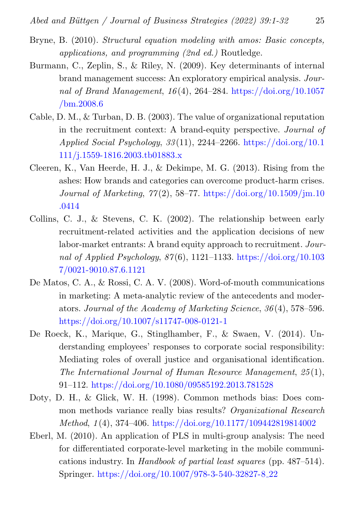- <span id="page-24-6"></span>Bryne, B. (2010). Structural equation modeling with amos: Basic concepts, applications, and programming (2nd ed.) Routledge.
- <span id="page-24-3"></span>Burmann, C., Zeplin, S., & Riley, N. (2009). Key determinants of internal brand management success: An exploratory empirical analysis. Journal of Brand Management,  $16(4)$ , 264–284. [https://doi.org/10.1057](https://doi.org/10.1057/bm.2008.6) [/bm.2008.6](https://doi.org/10.1057/bm.2008.6)
- <span id="page-24-7"></span>Cable, D. M., & Turban, D. B. (2003). The value of organizational reputation in the recruitment context: A brand-equity perspective. Journal of Applied Social Psychology, 33 (11), 2244–2266. [https://doi.org/10.1](https://doi.org/10.1111/j.1559-1816.2003.tb01883.x) [111/j.1559-1816.2003.tb01883.x](https://doi.org/10.1111/j.1559-1816.2003.tb01883.x)
- <span id="page-24-1"></span>Cleeren, K., Van Heerde, H. J., & Dekimpe, M. G. (2013). Rising from the ashes: How brands and categories can overcome product-harm crises. Journal of Marketing, 77 (2), 58–77. [https://doi.org/10.1509/jm.10](https://doi.org/10.1509/jm.10.0414) [.0414](https://doi.org/10.1509/jm.10.0414)
- <span id="page-24-0"></span>Collins, C. J., & Stevens, C. K. (2002). The relationship between early recruitment-related activities and the application decisions of new labor-market entrants: A brand equity approach to recruitment. Journal of Applied Psychology,  $87(6)$ , 1121–1133. [https://doi.org/10.103](https://doi.org/10.1037/0021-9010.87.6.1121) [7/0021-9010.87.6.1121](https://doi.org/10.1037/0021-9010.87.6.1121)
- <span id="page-24-2"></span>De Matos, C. A., & Rossi, C. A. V. (2008). Word-of-mouth communications in marketing: A meta-analytic review of the antecedents and moderators. Journal of the Academy of Marketing Science, 36 (4), 578–596. <https://doi.org/10.1007/s11747-008-0121-1>
- <span id="page-24-8"></span>De Roeck, K., Marique, G., Stinglhamber, F., & Swaen, V. (2014). Understanding employees' responses to corporate social responsibility: Mediating roles of overall justice and organisational identification. The International Journal of Human Resource Management, 25 (1), 91–112. <https://doi.org/10.1080/09585192.2013.781528>
- <span id="page-24-4"></span>Doty, D. H., & Glick, W. H. (1998). Common methods bias: Does common methods variance really bias results? Organizational Research Method, 1 (4), 374–406. <https://doi.org/10.1177/109442819814002>
- <span id="page-24-5"></span>Eberl, M. (2010). An application of PLS in multi-group analysis: The need for differentiated corporate-level marketing in the mobile communications industry. In Handbook of partial least squares (pp. 487–514). Springer. [https://doi.org/10.1007/978-3-540-32827-8](https://doi.org/10.1007/978-3-540-32827-8_22) 22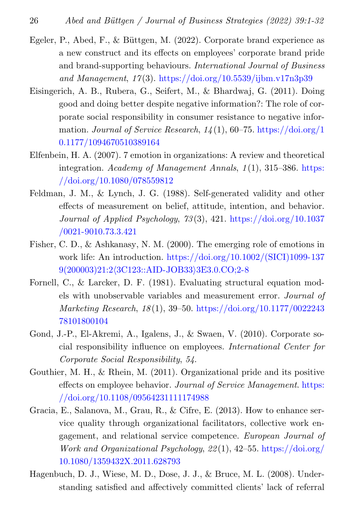- <span id="page-25-5"></span>Egeler, P., Abed, F., & Büttgen, M. (2022). Corporate brand experience as a new construct and its effects on employees' corporate brand pride and brand-supporting behaviours. International Journal of Business and Management,  $17(3)$ . <https://doi.org/10.5539/ijbm.v17n3p39>
- <span id="page-25-4"></span>Eisingerich, A. B., Rubera, G., Seifert, M., & Bhardwaj, G. (2011). Doing good and doing better despite negative information?: The role of corporate social responsibility in consumer resistance to negative information. Journal of Service Research,  $14(1)$ , 60–75. [https://doi.org/1](https://doi.org/10.1177/1094670510389164) [0.1177/1094670510389164](https://doi.org/10.1177/1094670510389164)
- <span id="page-25-2"></span>Elfenbein, H. A. (2007). 7 emotion in organizations: A review and theoretical integration. Academy of Management Annals, 1(1), 315–386. [https:](https://doi.org/10.1080/078559812) [//doi.org/10.1080/078559812](https://doi.org/10.1080/078559812)
- <span id="page-25-8"></span>Feldman, J. M., & Lynch, J. G. (1988). Self-generated validity and other effects of measurement on belief, attitude, intention, and behavior. Journal of Applied Psychology,  $73(3)$ , 421. [https://doi.org/10.1037](https://doi.org/10.1037/0021-9010.73.3.421) [/0021-9010.73.3.421](https://doi.org/10.1037/0021-9010.73.3.421)
- <span id="page-25-1"></span>Fisher, C. D., & Ashkanasy, N. M. (2000). The emerging role of emotions in work life: An introduction. [https://doi.org/10.1002/\(SICI\)1099-137](https://doi.org/10.1002/(SICI)1099-1379(200003)21:2<3C123::AID-JOB33>3E3.0.CO;2-8) 9(200003)21:2⟨[3C123::AID-JOB33](https://doi.org/10.1002/(SICI)1099-1379(200003)21:2<3C123::AID-JOB33>3E3.0.CO;2-8)⟩3E3.0.CO;2-8
- <span id="page-25-7"></span>Fornell, C., & Larcker, D. F. (1981). Evaluating structural equation models with unobservable variables and measurement error. Journal of Marketing Research, 18 (1), 39–50. [https://doi.org/10.1177/0022243](https://doi.org/10.1177/002224378101800104) [78101800104](https://doi.org/10.1177/002224378101800104)
- <span id="page-25-9"></span>Gond, J.-P., El-Akremi, A., Igalens, J., & Swaen, V. (2010). Corporate social responsibility influence on employees. International Center for Corporate Social Responsibility, 54.
- <span id="page-25-0"></span>Gouthier, M. H., & Rhein, M. (2011). Organizational pride and its positive effects on employee behavior. Journal of Service Management. [https:](https://doi.org/10.1108/09564231111174988) [//doi.org/10.1108/09564231111174988](https://doi.org/10.1108/09564231111174988)
- <span id="page-25-6"></span>Gracia, E., Salanova, M., Grau, R., & Cifre, E. (2013). How to enhance service quality through organizational facilitators, collective work engagement, and relational service competence. European Journal of Work and Organizational Psychology, 22 (1), 42–55. [https://doi.org/](https://doi.org/10.1080/1359432X.2011.628793) [10.1080/1359432X.2011.628793](https://doi.org/10.1080/1359432X.2011.628793)
- <span id="page-25-3"></span>Hagenbuch, D. J., Wiese, M. D., Dose, J. J., & Bruce, M. L. (2008). Understanding satisfied and affectively committed clients' lack of referral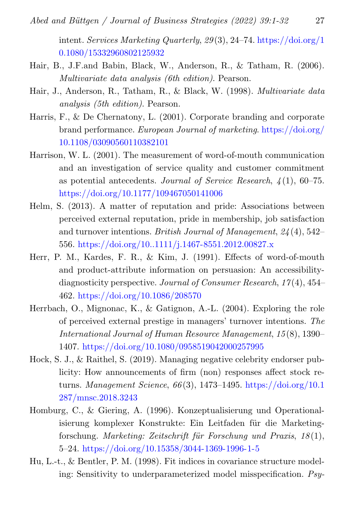intent. Services Marketing Quarterly, 29 (3), 24–74. [https://doi.org/1](https://doi.org/10.1080/15332960802125932) [0.1080/15332960802125932](https://doi.org/10.1080/15332960802125932)

- <span id="page-26-5"></span>Hair, B., J.F.and Babin, Black, W., Anderson, R., & Tatham, R. (2006). Multivariate data analysis (6th edition). Pearson.
- <span id="page-26-8"></span>Hair, J., Anderson, R., Tatham, R., & Black, W. (1998). Multivariate data analysis (5th edition). Pearson.
- <span id="page-26-4"></span>Harris, F., & De Chernatony, L. (2001). Corporate branding and corporate brand performance. European Journal of marketing. [https://doi.org/](https://doi.org/10.1108/03090560110382101) [10.1108/03090560110382101](https://doi.org/10.1108/03090560110382101)
- <span id="page-26-3"></span>Harrison, W. L. (2001). The measurement of word-of-mouth communication and an investigation of service quality and customer commitment as potential antecedents. Journal of Service Research,  $\frac{1}{4}(1)$ , 60–75. <https://doi.org/10.1177/109467050141006>
- <span id="page-26-2"></span>Helm, S. (2013). A matter of reputation and pride: Associations between perceived external reputation, pride in membership, job satisfaction and turnover intentions. British Journal of Management,  $24(4)$ , 542– 556. <https://doi.org/10..1111/j.1467-8551.2012.00827.x>
- <span id="page-26-9"></span>Herr, P. M., Kardes, F. R., & Kim, J. (1991). Effects of word-of-mouth and product-attribute information on persuasion: An accessibilitydiagnosticity perspective. Journal of Consumer Research,  $17(4)$ ,  $454-$ 462. <https://doi.org/10.1086/208570>
- <span id="page-26-1"></span>Herrbach, O., Mignonac, K., & Gatignon, A.-L. (2004). Exploring the role of perceived external prestige in managers' turnover intentions. The International Journal of Human Resource Management, 15 (8), 1390– 1407. <https://doi.org/10.1080/0958519042000257995>
- <span id="page-26-0"></span>Hock, S. J., & Raithel, S. (2019). Managing negative celebrity endorser publicity: How announcements of firm (non) responses affect stock returns. Management Science,  $66(3)$ , 1473–1495. [https://doi.org/10.1](https://doi.org/10.1287/mnsc.2018.3243) [287/mnsc.2018.3243](https://doi.org/10.1287/mnsc.2018.3243)
- <span id="page-26-6"></span>Homburg, C., & Giering, A. (1996). Konzeptualisierung und Operationalisierung komplexer Konstrukte: Ein Leitfaden für die Marketingforschung. Marketing: Zeitschrift für Forschung und Praxis,  $18(1)$ , 5–24. <https://doi.org/10.15358/3044-1369-1996-1-5>
- <span id="page-26-7"></span>Hu, L.-t., & Bentler, P. M. (1998). Fit indices in covariance structure modeling: Sensitivity to underparameterized model misspecification. Psy-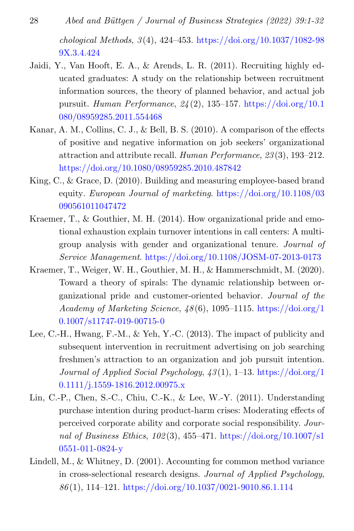- 28 Abed and Büttgen / Journal of Business Strategies (2022) 39:1-32  $chological Methods, 3(4), 424–453. <https://doi.org/10.1037/1082-98>$  $chological Methods, 3(4), 424–453. <https://doi.org/10.1037/1082-98>$  $chological Methods, 3(4), 424–453. <https://doi.org/10.1037/1082-98>$ [9X.3.4.424](https://doi.org/10.1037/1082-989X.3.4.424)
- <span id="page-27-2"></span>Jaidi, Y., Van Hooft, E. A., & Arends, L. R. (2011). Recruiting highly educated graduates: A study on the relationship between recruitment information sources, the theory of planned behavior, and actual job pursuit. Human Performance,  $24(2)$ , 135–157. [https://doi.org/10.1](https://doi.org/10.1080/08959285.2011.554468) [080/08959285.2011.554468](https://doi.org/10.1080/08959285.2011.554468)
- <span id="page-27-7"></span>Kanar, A. M., Collins, C. J., & Bell, B. S. (2010). A comparison of the effects of positive and negative information on job seekers' organizational attraction and attribute recall. Human Performance, 23 (3), 193–212. <https://doi.org/10.1080/08959285.2010.487842>
- <span id="page-27-5"></span>King, C., & Grace, D. (2010). Building and measuring employee-based brand equity. European Journal of marketing. [https://doi.org/10.1108/03](https://doi.org/10.1108/03090561011047472) [090561011047472](https://doi.org/10.1108/03090561011047472)
- <span id="page-27-4"></span>Kraemer, T., & Gouthier, M. H. (2014). How organizational pride and emotional exhaustion explain turnover intentions in call centers: A multigroup analysis with gender and organizational tenure. Journal of Service Management. <https://doi.org/10.1108/JOSM-07-2013-0173>
- <span id="page-27-3"></span>Kraemer, T., Weiger, W. H., Gouthier, M. H., & Hammerschmidt, M. (2020). Toward a theory of spirals: The dynamic relationship between organizational pride and customer-oriented behavior. Journal of the Academy of Marketing Science,  $\frac{18(6)}{0}$ , 1095–1115. [https://doi.org/1](https://doi.org/10.1007/s11747-019-00715-0) [0.1007/s11747-019-00715-0](https://doi.org/10.1007/s11747-019-00715-0)
- <span id="page-27-0"></span>Lee, C.-H., Hwang, F.-M., & Yeh, Y.-C. (2013). The impact of publicity and subsequent intervention in recruitment advertising on job searching freshmen's attraction to an organization and job pursuit intention. Journal of Applied Social Psychology, 43 (1), 1–13. [https://doi.org/1](https://doi.org/10.1111/j.1559-1816.2012.00975.x) [0.1111/j.1559-1816.2012.00975.x](https://doi.org/10.1111/j.1559-1816.2012.00975.x)
- <span id="page-27-1"></span>Lin, C.-P., Chen, S.-C., Chiu, C.-K., & Lee, W.-Y. (2011). Understanding purchase intention during product-harm crises: Moderating effects of perceived corporate ability and corporate social responsibility. Journal of Business Ethics, 102 (3), 455–471. [https://doi.org/10.1007/s1](https://doi.org/10.1007/s10551-011-0824-y) [0551-011-0824-y](https://doi.org/10.1007/s10551-011-0824-y)
- <span id="page-27-6"></span>Lindell, M., & Whitney, D. (2001). Accounting for common method variance in cross-selectional research designs. Journal of Applied Psychology, 86 (1), 114–121. <https://doi.org/10.1037/0021-9010.86.1.114>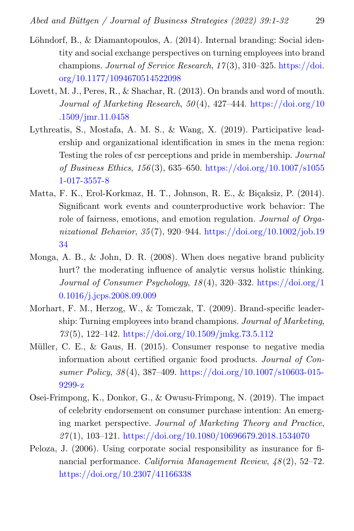- <span id="page-28-2"></span>Löhndorf, B., & Diamantopoulos, A. (2014). Internal branding: Social identity and social exchange perspectives on turning employees into brand champions. Journal of Service Research,  $17(3)$ ,  $310-325$ . [https://doi.](https://doi.org/10.1177/1094670514522098) [org/10.1177/1094670514522098](https://doi.org/10.1177/1094670514522098)
- <span id="page-28-5"></span>Lovett, M. J., Peres, R., & Shachar, R. (2013). On brands and word of mouth. Journal of Marketing Research,  $50(4)$ ,  $427-444$ . [https://doi.org/10](https://doi.org/10.1509/jmr.11.0458) [.1509/jmr.11.0458](https://doi.org/10.1509/jmr.11.0458)
- <span id="page-28-6"></span>Lythreatis, S., Mostafa, A. M. S., & Wang, X. (2019). Participative leadership and organizational identification in smes in the mena region: Testing the roles of csr perceptions and pride in membership. Journal of Business Ethics, 156 (3), 635–650. [https://doi.org/10.1007/s1055](https://doi.org/10.1007/s10551-017-3557-8) [1-017-3557-8](https://doi.org/10.1007/s10551-017-3557-8)
- <span id="page-28-3"></span>Matta, F. K., Erol-Korkmaz, H. T., Johnson, R. E., & Biçaksiz, P. (2014). Significant work events and counterproductive work behavior: The role of fairness, emotions, and emotion regulation. *Journal of Orga*nizational Behavior,  $35(7)$ , 920–944. [https://doi.org/10.1002/job.19](https://doi.org/10.1002/job.1934) [34](https://doi.org/10.1002/job.1934)
- <span id="page-28-0"></span>Monga, A. B.,  $\&$  John, D. R. (2008). When does negative brand publicity hurt? the moderating influence of analytic versus holistic thinking. Journal of Consumer Psychology, 18 (4), 320–332. [https://doi.org/1](https://doi.org/10.1016/j.jcps.2008.09.009) [0.1016/j.jcps.2008.09.009](https://doi.org/10.1016/j.jcps.2008.09.009)
- <span id="page-28-8"></span>Morhart, F. M., Herzog, W., & Tomczak, T. (2009). Brand-specific leadership: Turning employees into brand champions. Journal of Marketing, 73 (5), 122–142. <https://doi.org/10.1509/jmkg.73.5.112>
- <span id="page-28-4"></span>Müller, C. E.,  $\&$  Gaus, H. (2015). Consumer response to negative media information about certified organic food products. Journal of Consumer Policy, 38 (4), 387–409. [https://doi.org/10.1007/s10603-015-](https://doi.org/10.1007/s10603-015-9299-z) [9299-z](https://doi.org/10.1007/s10603-015-9299-z)
- <span id="page-28-1"></span>Osei-Frimpong, K., Donkor, G., & Owusu-Frimpong, N. (2019). The impact of celebrity endorsement on consumer purchase intention: An emerging market perspective. Journal of Marketing Theory and Practice,  $27(1)$ , 103-121. <https://doi.org/10.1080/10696679.2018.1534070>
- <span id="page-28-7"></span>Peloza, J. (2006). Using corporate social responsibility as insurance for financial performance. California Management Review,  $48(2)$ , 52–72. <https://doi.org/10.2307/41166338>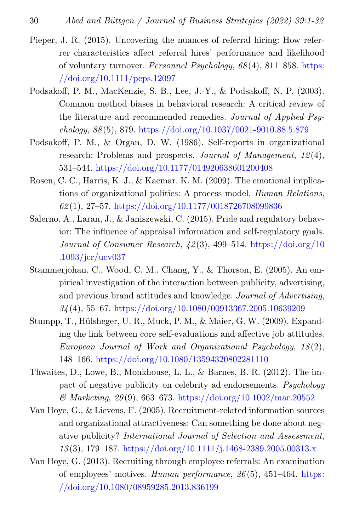- <span id="page-29-8"></span>Pieper, J. R. (2015). Uncovering the nuances of referral hiring: How referrer characteristics affect referral hires' performance and likelihood of voluntary turnover. *Personnel Psychology*,  $68(4)$ , 811–858. [https:](https://doi.org/10.1111/peps.12097) [//doi.org/10.1111/peps.12097](https://doi.org/10.1111/peps.12097)
- <span id="page-29-6"></span>Podsakoff, P. M., MacKenzie, S. B., Lee, J.-Y., & Podsakoff, N. P. (2003). Common method biases in behavioral research: A critical review of the literature and recommended remedies. Journal of Applied Psychology, 88 (5), 879. <https://doi.org/10.1037/0021-9010.88.5.879>
- <span id="page-29-5"></span>Podsakoff, P. M., & Organ, D. W. (1986). Self-reports in organizational research: Problems and prospects. Journal of Management, 12(4), 531–544. <https://doi.org/10.1177/014920638601200408>
- <span id="page-29-1"></span>Rosen, C. C., Harris, K. J., & Kacmar, K. M. (2009). The emotional implications of organizational politics: A process model. Human Relations, 62 (1), 27–57. <https://doi.org/10.1177/0018726708099836>
- <span id="page-29-2"></span>Salerno, A., Laran, J., & Janiszewski, C. (2015). Pride and regulatory behavior: The influence of appraisal information and self-regulatory goals. Journal of Consumer Research,  $\frac{12(3)}{3}$ , 499–514. [https://doi.org/10](https://doi.org/10.1093/jcr/ucv037) [.1093/jcr/ucv037](https://doi.org/10.1093/jcr/ucv037)
- <span id="page-29-3"></span>Stammerjohan, C., Wood, C. M., Chang, Y., & Thorson, E. (2005). An empirical investigation of the interaction between publicity, advertising, and previous brand attitudes and knowledge. Journal of Advertising,  $34(4)$ , 55–67. <https://doi.org/10.1080/00913367.2005.10639209>
- <span id="page-29-4"></span>Stumpp, T., Hülsheger, U. R., Muck, P. M., & Maier, G. W. (2009). Expanding the link between core self-evaluations and affective job attitudes. European Journal of Work and Organizational Psychology, 18 (2), 148–166. <https://doi.org/10.1080/13594320802281110>
- <span id="page-29-7"></span>Thwaites, D., Lowe, B., Monkhouse, L. L., & Barnes, B. R. (2012). The impact of negative publicity on celebrity ad endorsements. Psychology  $\mathcal{B}$  Marketing, 29(9), 663–673. <https://doi.org/10.1002/mar.20552>
- <span id="page-29-0"></span>Van Hoye, G., & Lievens, F. (2005). Recruitment-related information sources and organizational attractiveness: Can something be done about negative publicity? International Journal of Selection and Assessment, 13 (3), 179–187. <https://doi.org/10.1111/j.1468-2389.2005.00313.x>
- <span id="page-29-9"></span>Van Hoye, G. (2013). Recruiting through employee referrals: An examination of employees' motives. Human performance, 26 (5), 451–464. [https:](https://doi.org/10.1080/08959285.2013.836199) [//doi.org/10.1080/08959285.2013.836199](https://doi.org/10.1080/08959285.2013.836199)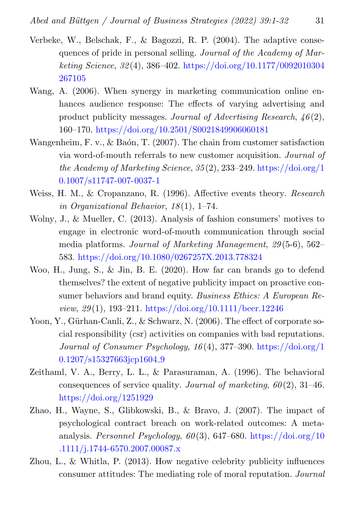- <span id="page-30-6"></span>Verbeke, W., Belschak, F., & Bagozzi, R. P. (2004). The adaptive consequences of pride in personal selling. Journal of the Academy of Marketing Science, 32 (4), 386–402. [https://doi.org/10.1177/0092010304](https://doi.org/10.1177/0092010304267105) [267105](https://doi.org/10.1177/0092010304267105)
- <span id="page-30-7"></span>Wang, A. (2006). When synergy in marketing communication online enhances audience response: The effects of varying advertising and product publicity messages. Journal of Advertising Research,  $46(2)$ , 160–170. <https://doi.org/10.2501/S0021849906060181>
- <span id="page-30-4"></span>Wangenheim, F. v., & Baón, T.  $(2007)$ . The chain from customer satisfaction via word-of-mouth referrals to new customer acquisition. Journal of the Academy of Marketing Science,  $35(2)$ ,  $233-249$ . [https://doi.org/1](https://doi.org/10.1007/s11747-007-0037-1) [0.1007/s11747-007-0037-1](https://doi.org/10.1007/s11747-007-0037-1)
- <span id="page-30-1"></span>Weiss, H. M., & Cropanzano, R. (1996). Affective events theory. Research in Organizational Behavior,  $18(1)$ , 1–74.
- <span id="page-30-5"></span>Wolny, J., & Mueller, C. (2013). Analysis of fashion consumers' motives to engage in electronic word-of-mouth communication through social media platforms. Journal of Marketing Management, 29 (5-6), 562– 583. <https://doi.org/10.1080/0267257X.2013.778324>
- <span id="page-30-0"></span>Woo, H., Jung, S., & Jin, B. E. (2020). How far can brands go to defend themselves? the extent of negative publicity impact on proactive consumer behaviors and brand equity. Business Ethics: A European Review, 29 (1), 193–211. <https://doi.org/10.1111/beer.12246>
- <span id="page-30-8"></span>Yoon, Y., Gürhan-Canli, Z., & Schwarz, N. (2006). The effect of corporate social responsibility (csr) activities on companies with bad reputations. Journal of Consumer Psychology, 16 (4), 377–390. [https://doi.org/1](https://doi.org/10.1207/s15327663jcp1604_9) [0.1207/s15327663jcp1604](https://doi.org/10.1207/s15327663jcp1604_9)<sub>-9</sub>
- <span id="page-30-9"></span>Zeithaml, V. A., Berry, L. L., & Parasuraman, A. (1996). The behavioral consequences of service quality. Journal of marketing,  $60(2)$ , 31–46. <https://doi.org/1251929>
- <span id="page-30-3"></span>Zhao, H., Wayne, S., Glibkowski, B., & Bravo, J. (2007). The impact of psychological contract breach on work-related outcomes: A metaanalysis. Personnel Psychology,  $60(3)$ , 647–680. [https://doi.org/10](https://doi.org/10.1111/j.1744-6570.2007.00087.x) [.1111/j.1744-6570.2007.00087.x](https://doi.org/10.1111/j.1744-6570.2007.00087.x)
- <span id="page-30-2"></span>Zhou, L., & Whitla, P. (2013). How negative celebrity publicity influences consumer attitudes: The mediating role of moral reputation. Journal